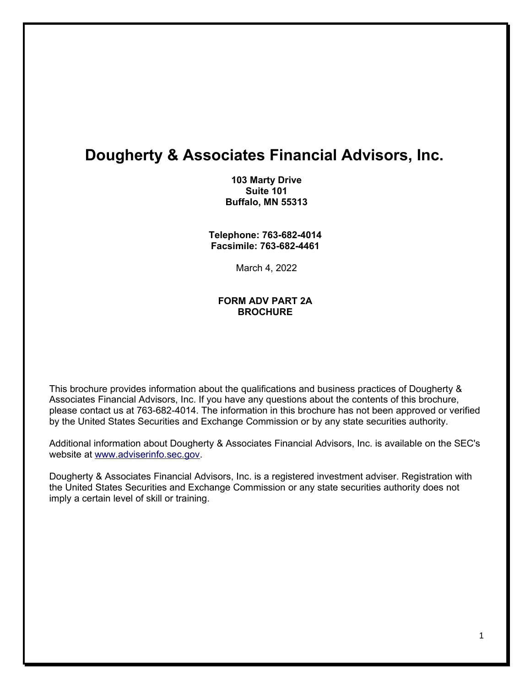# **Dougherty & Associates Financial Advisors, Inc.**

**103 Marty Drive Suite 101 Buffalo, MN 55313**

**Telephone: 763-682-4014 Facsimile: 763-682-4461** 

March 4, 2022

#### **FORM ADV PART 2A BROCHURE**

This brochure provides information about the qualifications and business practices of Dougherty & Associates Financial Advisors, Inc. If you have any questions about the contents of this brochure, please contact us at 763-682-4014. The information in this brochure has not been approved or verified by the United States Securities and Exchange Commission or by any state securities authority.

Additional information about Dougherty & Associates Financial Advisors, Inc. is available on the SEC's website at [www.adviserinfo.sec.gov.](http://www.adviserinfo.sec.gov/)

Dougherty & Associates Financial Advisors, Inc. is a registered investment adviser. Registration with the United States Securities and Exchange Commission or any state securities authority does not imply a certain level of skill or training.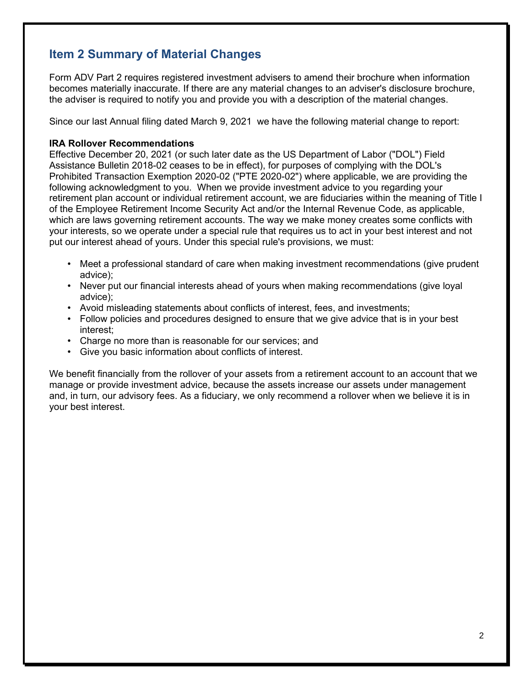# **Item 2 Summary of Material Changes**

Form ADV Part 2 requires registered investment advisers to amend their brochure when information becomes materially inaccurate. If there are any material changes to an adviser's disclosure brochure, the adviser is required to notify you and provide you with a description of the material changes.

Since our last Annual filing dated March 9, 2021 we have the following material change to report:

#### **IRA Rollover Recommendations**

Effective December 20, 2021 (or such later date as the US Department of Labor ("DOL") Field Assistance Bulletin 2018-02 ceases to be in effect), for purposes of complying with the DOL's Prohibited Transaction Exemption 2020-02 ("PTE 2020-02") where applicable, we are providing the following acknowledgment to you. When we provide investment advice to you regarding your retirement plan account or individual retirement account, we are fiduciaries within the meaning of Title I of the Employee Retirement Income Security Act and/or the Internal Revenue Code, as applicable, which are laws governing retirement accounts. The way we make money creates some conflicts with your interests, so we operate under a special rule that requires us to act in your best interest and not put our interest ahead of yours. Under this special rule's provisions, we must:

- Meet a professional standard of care when making investment recommendations (give prudent advice);
- Never put our financial interests ahead of yours when making recommendations (give loyal advice);
- Avoid misleading statements about conflicts of interest, fees, and investments;
- Follow policies and procedures designed to ensure that we give advice that is in your best interest;
- Charge no more than is reasonable for our services; and
- Give you basic information about conflicts of interest.

We benefit financially from the rollover of your assets from a retirement account to an account that we manage or provide investment advice, because the assets increase our assets under management and, in turn, our advisory fees. As a fiduciary, we only recommend a rollover when we believe it is in your best interest.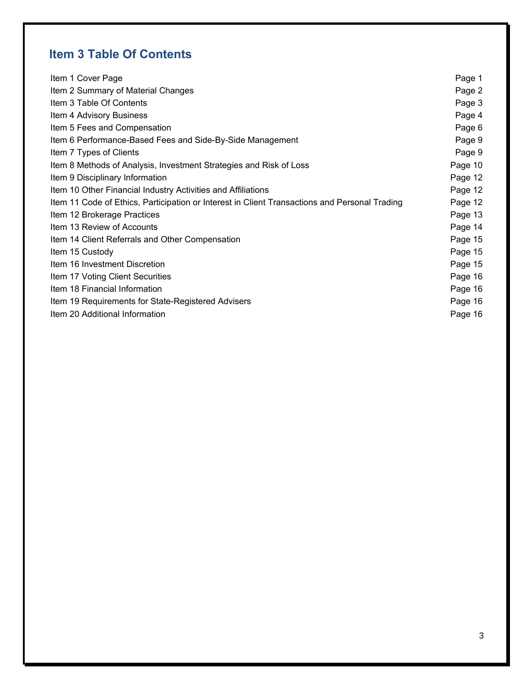# **Item 3 Table Of Contents**

| Item 1 Cover Page                                                                             | Page 1  |
|-----------------------------------------------------------------------------------------------|---------|
| Item 2 Summary of Material Changes                                                            | Page 2  |
| Item 3 Table Of Contents                                                                      | Page 3  |
| Item 4 Advisory Business                                                                      | Page 4  |
| Item 5 Fees and Compensation                                                                  | Page 6  |
| Item 6 Performance-Based Fees and Side-By-Side Management                                     | Page 9  |
| Item 7 Types of Clients                                                                       | Page 9  |
| Item 8 Methods of Analysis, Investment Strategies and Risk of Loss                            | Page 10 |
| Item 9 Disciplinary Information                                                               | Page 12 |
| Item 10 Other Financial Industry Activities and Affiliations                                  | Page 12 |
| Item 11 Code of Ethics, Participation or Interest in Client Transactions and Personal Trading | Page 12 |
| Item 12 Brokerage Practices                                                                   | Page 13 |
| Item 13 Review of Accounts                                                                    | Page 14 |
| Item 14 Client Referrals and Other Compensation                                               | Page 15 |
| Item 15 Custody                                                                               | Page 15 |
| Item 16 Investment Discretion                                                                 | Page 15 |
| Item 17 Voting Client Securities                                                              | Page 16 |
| Item 18 Financial Information                                                                 | Page 16 |
| Item 19 Requirements for State-Registered Advisers                                            | Page 16 |
| Item 20 Additional Information                                                                | Page 16 |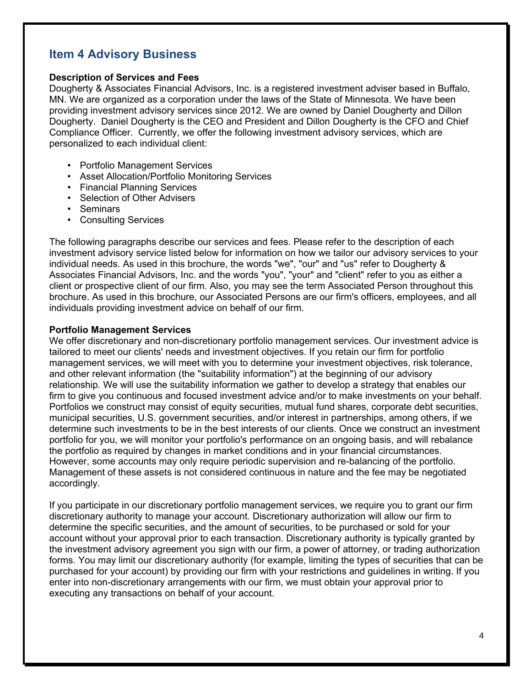# **Item 4 Advisory Business**

#### **Description of Services and Fees**

Dougherty & Associates Financial Advisors, Inc. is a registered investment adviser based in Buffalo, MN. We are organized as a corporation under the laws of the State of Minnesota. We have been providing investment advisory services since 2012. We are owned by Daniel Dougherty and Dillon Dougherty. Daniel Dougherty is the CEO and President and Dillon Dougherty is the CFO and Chief Compliance Officer. Currently, we offer the following investment advisory services, which are personalized to each individual client:

- Portfolio Management Services
- Asset Allocation/Portfolio Monitoring Services
- Financial Planning Services
- Selection of Other Advisers
- Seminars
- Consulting Services

The following paragraphs describe our services and fees. Please refer to the description of each investment advisory service listed below for information on how we tailor our advisory services to your individual needs. As used in this brochure, the words "we", "our" and "us" refer to Dougherty & Associates Financial Advisors, Inc. and the words "you", "your" and "client" refer to you as either a client or prospective client of our firm. Also, you may see the term Associated Person throughout this brochure. As used in this brochure, our Associated Persons are our firm's officers, employees, and all individuals providing investment advice on behalf of our firm.

#### **Portfolio Management Services**

We offer discretionary and non-discretionary portfolio management services. Our investment advice is tailored to meet our clients' needs and investment objectives. If you retain our firm for portfolio management services, we will meet with you to determine your investment objectives, risk tolerance, and other relevant information (the "suitability information") at the beginning of our advisory relationship. We will use the suitability information we gather to develop a strategy that enables our firm to give you continuous and focused investment advice and/or to make investments on your behalf. Portfolios we construct may consist of equity securities, mutual fund shares, corporate debt securities, municipal securities, U.S. government securities, and/or interest in partnerships, among others, if we determine such investments to be in the best interests of our clients. Once we construct an investment portfolio for you, we will monitor your portfolio's performance on an ongoing basis, and will rebalance the portfolio as required by changes in market conditions and in your financial circumstances. However, some accounts may only require periodic supervision and re-balancing of the portfolio. Management of these assets is not considered continuous in nature and the fee may be negotiated accordingly.

If you participate in our discretionary portfolio management services, we require you to grant our firm discretionary authority to manage your account. Discretionary authorization will allow our firm to determine the specific securities, and the amount of securities, to be purchased or sold for your account without your approval prior to each transaction. Discretionary authority is typically granted by the investment advisory agreement you sign with our firm, a power of attorney, or trading authorization forms. You may limit our discretionary authority (for example, limiting the types of securities that can be purchased for your account) by providing our firm with your restrictions and guidelines in writing. If you enter into non-discretionary arrangements with our firm, we must obtain your approval prior to executing any transactions on behalf of your account.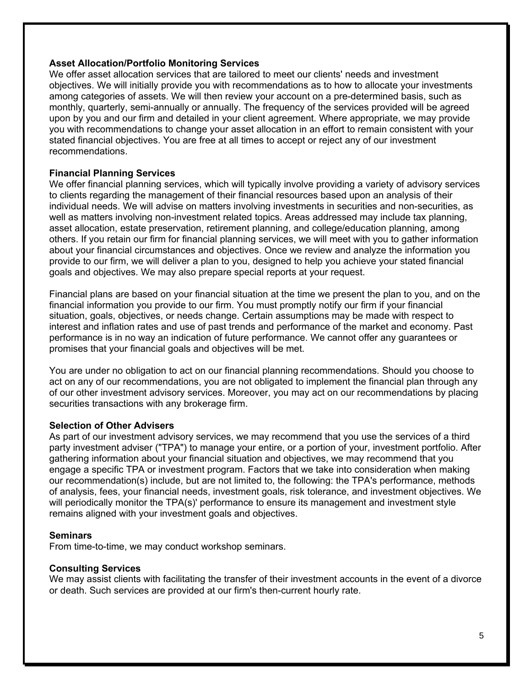#### **Asset Allocation/Portfolio Monitoring Services**

We offer asset allocation services that are tailored to meet our clients' needs and investment objectives. We will initially provide you with recommendations as to how to allocate your investments among categories of assets. We will then review your account on a pre-determined basis, such as monthly, quarterly, semi-annually or annually. The frequency of the services provided will be agreed upon by you and our firm and detailed in your client agreement. Where appropriate, we may provide you with recommendations to change your asset allocation in an effort to remain consistent with your stated financial objectives. You are free at all times to accept or reject any of our investment recommendations.

#### **Financial Planning Services**

We offer financial planning services, which will typically involve providing a variety of advisory services to clients regarding the management of their financial resources based upon an analysis of their individual needs. We will advise on matters involving investments in securities and non-securities, as well as matters involving non-investment related topics. Areas addressed may include tax planning, asset allocation, estate preservation, retirement planning, and college/education planning, among others. If you retain our firm for financial planning services, we will meet with you to gather information about your financial circumstances and objectives. Once we review and analyze the information you provide to our firm, we will deliver a plan to you, designed to help you achieve your stated financial goals and objectives. We may also prepare special reports at your request.

Financial plans are based on your financial situation at the time we present the plan to you, and on the financial information you provide to our firm. You must promptly notify our firm if your financial situation, goals, objectives, or needs change. Certain assumptions may be made with respect to interest and inflation rates and use of past trends and performance of the market and economy. Past performance is in no way an indication of future performance. We cannot offer any guarantees or promises that your financial goals and objectives will be met.

You are under no obligation to act on our financial planning recommendations. Should you choose to act on any of our recommendations, you are not obligated to implement the financial plan through any of our other investment advisory services. Moreover, you may act on our recommendations by placing securities transactions with any brokerage firm.

#### **Selection of Other Advisers**

As part of our investment advisory services, we may recommend that you use the services of a third party investment adviser ("TPA") to manage your entire, or a portion of your, investment portfolio. After gathering information about your financial situation and objectives, we may recommend that you engage a specific TPA or investment program. Factors that we take into consideration when making our recommendation(s) include, but are not limited to, the following: the TPA's performance, methods of analysis, fees, your financial needs, investment goals, risk tolerance, and investment objectives. We will periodically monitor the TPA(s)' performance to ensure its management and investment style remains aligned with your investment goals and objectives.

#### **Seminars**

From time-to-time, we may conduct workshop seminars.

#### **Consulting Services**

We may assist clients with facilitating the transfer of their investment accounts in the event of a divorce or death. Such services are provided at our firm's then-current hourly rate.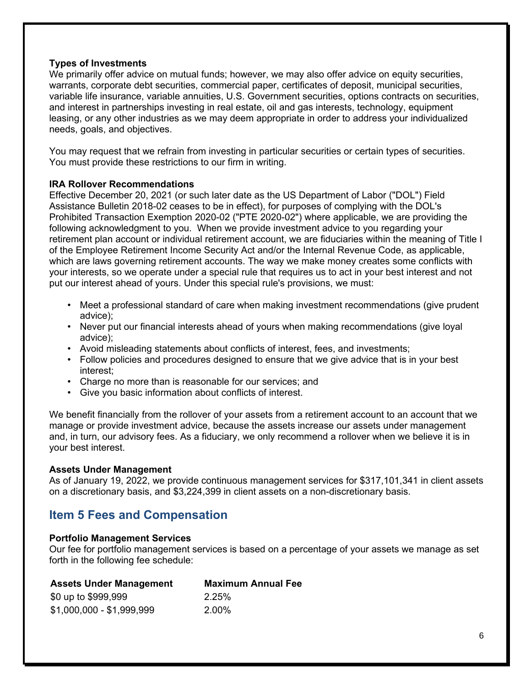#### **Types of Investments**

We primarily offer advice on mutual funds; however, we may also offer advice on equity securities, warrants, corporate debt securities, commercial paper, certificates of deposit, municipal securities, variable life insurance, variable annuities, U.S. Government securities, options contracts on securities, and interest in partnerships investing in real estate, oil and gas interests, technology, equipment leasing, or any other industries as we may deem appropriate in order to address your individualized needs, goals, and objectives.

You may request that we refrain from investing in particular securities or certain types of securities. You must provide these restrictions to our firm in writing.

#### **IRA Rollover Recommendations**

Effective December 20, 2021 (or such later date as the US Department of Labor ("DOL") Field Assistance Bulletin 2018-02 ceases to be in effect), for purposes of complying with the DOL's Prohibited Transaction Exemption 2020-02 ("PTE 2020-02") where applicable, we are providing the following acknowledgment to you. When we provide investment advice to you regarding your retirement plan account or individual retirement account, we are fiduciaries within the meaning of Title I of the Employee Retirement Income Security Act and/or the Internal Revenue Code, as applicable, which are laws governing retirement accounts. The way we make money creates some conflicts with your interests, so we operate under a special rule that requires us to act in your best interest and not put our interest ahead of yours. Under this special rule's provisions, we must:

- Meet a professional standard of care when making investment recommendations (give prudent advice);
- Never put our financial interests ahead of yours when making recommendations (give loyal advice);
- Avoid misleading statements about conflicts of interest, fees, and investments;
- Follow policies and procedures designed to ensure that we give advice that is in your best interest;
- Charge no more than is reasonable for our services; and
- Give you basic information about conflicts of interest.

We benefit financially from the rollover of your assets from a retirement account to an account that we manage or provide investment advice, because the assets increase our assets under management and, in turn, our advisory fees. As a fiduciary, we only recommend a rollover when we believe it is in your best interest.

#### **Assets Under Management**

As of January 19, 2022, we provide continuous management services for \$317,101,341 in client assets on a discretionary basis, and \$3,224,399 in client assets on a non-discretionary basis.

# **Item 5 Fees and Compensation**

#### **Portfolio Management Services**

Our fee for portfolio management services is based on a percentage of your assets we manage as set forth in the following fee schedule:

| <b>Assets Under Management</b> | <b>Maximum Annual Fee</b> |
|--------------------------------|---------------------------|
| \$0 up to \$999,999            | 2.25%                     |
| \$1,000,000 - \$1,999,999      | 2.00%                     |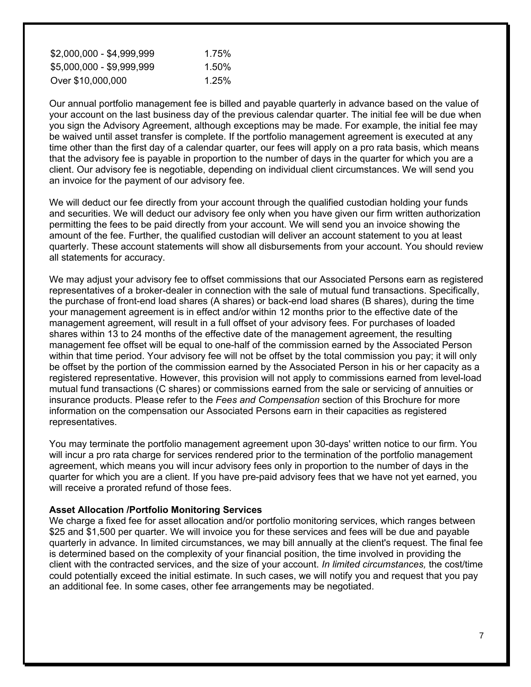| \$2,000,000 - \$4,999,999 | 1.75% |
|---------------------------|-------|
| \$5,000,000 - \$9,999,999 | 1.50% |
| Over \$10,000,000         | 1.25% |

Our annual portfolio management fee is billed and payable quarterly in advance based on the value of your account on the last business day of the previous calendar quarter. The initial fee will be due when you sign the Advisory Agreement, although exceptions may be made. For example, the initial fee may be waived until asset transfer is complete. If the portfolio management agreement is executed at any time other than the first day of a calendar quarter, our fees will apply on a pro rata basis, which means that the advisory fee is payable in proportion to the number of days in the quarter for which you are a client. Our advisory fee is negotiable, depending on individual client circumstances. We will send you an invoice for the payment of our advisory fee.

We will deduct our fee directly from your account through the qualified custodian holding your funds and securities. We will deduct our advisory fee only when you have given our firm written authorization permitting the fees to be paid directly from your account. We will send you an invoice showing the amount of the fee. Further, the qualified custodian will deliver an account statement to you at least quarterly. These account statements will show all disbursements from your account. You should review all statements for accuracy.

We may adjust your advisory fee to offset commissions that our Associated Persons earn as registered representatives of a broker-dealer in connection with the sale of mutual fund transactions. Specifically, the purchase of front-end load shares (A shares) or back-end load shares (B shares), during the time your management agreement is in effect and/or within 12 months prior to the effective date of the management agreement, will result in a full offset of your advisory fees. For purchases of loaded shares within 13 to 24 months of the effective date of the management agreement, the resulting management fee offset will be equal to one-half of the commission earned by the Associated Person within that time period. Your advisory fee will not be offset by the total commission you pay; it will only be offset by the portion of the commission earned by the Associated Person in his or her capacity as a registered representative. However, this provision will not apply to commissions earned from level-load mutual fund transactions (C shares) or commissions earned from the sale or servicing of annuities or insurance products. Please refer to the *Fees and Compensation* section of this Brochure for more information on the compensation our Associated Persons earn in their capacities as registered representatives.

You may terminate the portfolio management agreement upon 30-days' written notice to our firm. You will incur a pro rata charge for services rendered prior to the termination of the portfolio management agreement, which means you will incur advisory fees only in proportion to the number of days in the quarter for which you are a client. If you have pre-paid advisory fees that we have not yet earned, you will receive a prorated refund of those fees.

#### **Asset Allocation /Portfolio Monitoring Services**

We charge a fixed fee for asset allocation and/or portfolio monitoring services, which ranges between \$25 and \$1,500 per quarter. We will invoice you for these services and fees will be due and payable quarterly in advance. In limited circumstances, we may bill annually at the client's request. The final fee is determined based on the complexity of your financial position, the time involved in providing the client with the contracted services, and the size of your account. *In limited circumstances,* the cost/time could potentially exceed the initial estimate. In such cases, we will notify you and request that you pay an additional fee. In some cases, other fee arrangements may be negotiated.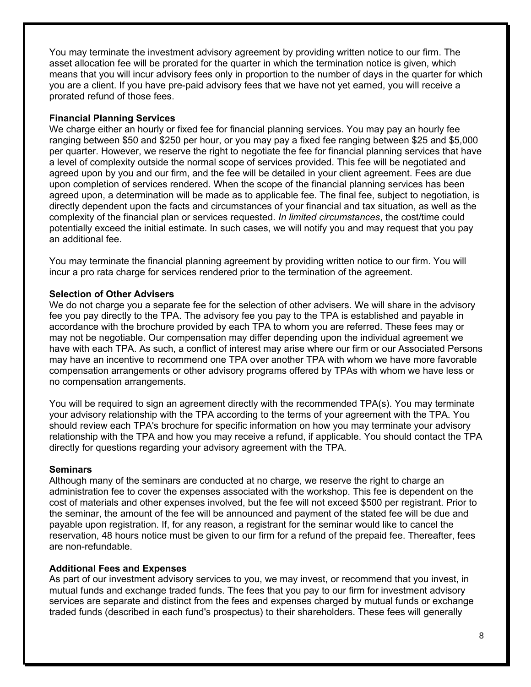You may terminate the investment advisory agreement by providing written notice to our firm. The asset allocation fee will be prorated for the quarter in which the termination notice is given, which means that you will incur advisory fees only in proportion to the number of days in the quarter for which you are a client. If you have pre-paid advisory fees that we have not yet earned, you will receive a prorated refund of those fees.

#### **Financial Planning Services**

We charge either an hourly or fixed fee for financial planning services. You may pay an hourly fee ranging between \$50 and \$250 per hour, or you may pay a fixed fee ranging between \$25 and \$5,000 per quarter. However, we reserve the right to negotiate the fee for financial planning services that have a level of complexity outside the normal scope of services provided. This fee will be negotiated and agreed upon by you and our firm, and the fee will be detailed in your client agreement. Fees are due upon completion of services rendered. When the scope of the financial planning services has been agreed upon, a determination will be made as to applicable fee. The final fee, subject to negotiation, is directly dependent upon the facts and circumstances of your financial and tax situation, as well as the complexity of the financial plan or services requested. *In limited circumstances*, the cost/time could potentially exceed the initial estimate. In such cases, we will notify you and may request that you pay an additional fee.

You may terminate the financial planning agreement by providing written notice to our firm. You will incur a pro rata charge for services rendered prior to the termination of the agreement.

#### **Selection of Other Advisers**

We do not charge you a separate fee for the selection of other advisers. We will share in the advisory fee you pay directly to the TPA. The advisory fee you pay to the TPA is established and payable in accordance with the brochure provided by each TPA to whom you are referred. These fees may or may not be negotiable. Our compensation may differ depending upon the individual agreement we have with each TPA. As such, a conflict of interest may arise where our firm or our Associated Persons may have an incentive to recommend one TPA over another TPA with whom we have more favorable compensation arrangements or other advisory programs offered by TPAs with whom we have less or no compensation arrangements.

You will be required to sign an agreement directly with the recommended TPA(s). You may terminate your advisory relationship with the TPA according to the terms of your agreement with the TPA. You should review each TPA's brochure for specific information on how you may terminate your advisory relationship with the TPA and how you may receive a refund, if applicable. You should contact the TPA directly for questions regarding your advisory agreement with the TPA.

#### **Seminars**

Although many of the seminars are conducted at no charge, we reserve the right to charge an administration fee to cover the expenses associated with the workshop. This fee is dependent on the cost of materials and other expenses involved, but the fee will not exceed \$500 per registrant. Prior to the seminar, the amount of the fee will be announced and payment of the stated fee will be due and payable upon registration. If, for any reason, a registrant for the seminar would like to cancel the reservation, 48 hours notice must be given to our firm for a refund of the prepaid fee. Thereafter, fees are non-refundable.

#### **Additional Fees and Expenses**

As part of our investment advisory services to you, we may invest, or recommend that you invest, in mutual funds and exchange traded funds. The fees that you pay to our firm for investment advisory services are separate and distinct from the fees and expenses charged by mutual funds or exchange traded funds (described in each fund's prospectus) to their shareholders. These fees will generally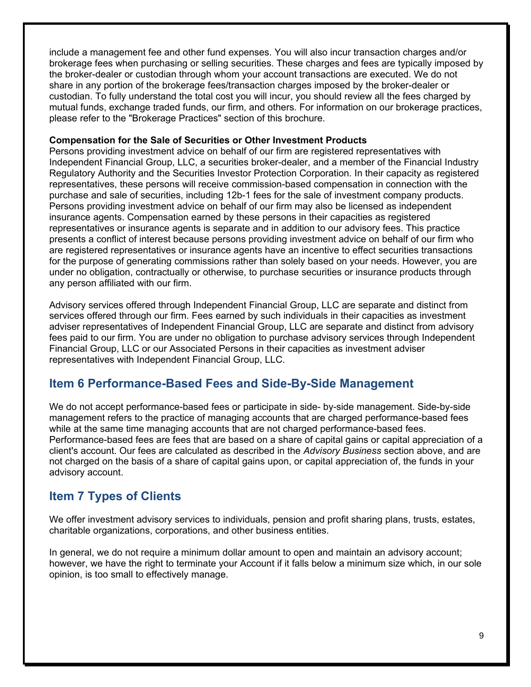include a management fee and other fund expenses. You will also incur transaction charges and/or brokerage fees when purchasing or selling securities. These charges and fees are typically imposed by the broker-dealer or custodian through whom your account transactions are executed. We do not share in any portion of the brokerage fees/transaction charges imposed by the broker-dealer or custodian. To fully understand the total cost you will incur, you should review all the fees charged by mutual funds, exchange traded funds, our firm, and others. For information on our brokerage practices, please refer to the "Brokerage Practices" section of this brochure.

#### **Compensation for the Sale of Securities or Other Investment Products**

Persons providing investment advice on behalf of our firm are registered representatives with Independent Financial Group, LLC, a securities broker-dealer, and a member of the Financial Industry Regulatory Authority and the Securities Investor Protection Corporation. In their capacity as registered representatives, these persons will receive commission-based compensation in connection with the purchase and sale of securities, including 12b-1 fees for the sale of investment company products. Persons providing investment advice on behalf of our firm may also be licensed as independent insurance agents. Compensation earned by these persons in their capacities as registered representatives or insurance agents is separate and in addition to our advisory fees. This practice presents a conflict of interest because persons providing investment advice on behalf of our firm who are registered representatives or insurance agents have an incentive to effect securities transactions for the purpose of generating commissions rather than solely based on your needs. However, you are under no obligation, contractually or otherwise, to purchase securities or insurance products through any person affiliated with our firm.

Advisory services offered through Independent Financial Group, LLC are separate and distinct from services offered through our firm. Fees earned by such individuals in their capacities as investment adviser representatives of Independent Financial Group, LLC are separate and distinct from advisory fees paid to our firm. You are under no obligation to purchase advisory services through Independent Financial Group, LLC or our Associated Persons in their capacities as investment adviser representatives with Independent Financial Group, LLC.

# **Item 6 Performance-Based Fees and Side-By-Side Management**

We do not accept performance-based fees or participate in side- by-side management. Side-by-side management refers to the practice of managing accounts that are charged performance-based fees while at the same time managing accounts that are not charged performance-based fees. Performance-based fees are fees that are based on a share of capital gains or capital appreciation of a client's account. Our fees are calculated as described in the *Advisory Business* section above, and are not charged on the basis of a share of capital gains upon, or capital appreciation of, the funds in your advisory account.

# **Item 7 Types of Clients**

We offer investment advisory services to individuals, pension and profit sharing plans, trusts, estates, charitable organizations, corporations, and other business entities.

In general, we do not require a minimum dollar amount to open and maintain an advisory account; however, we have the right to terminate your Account if it falls below a minimum size which, in our sole opinion, is too small to effectively manage.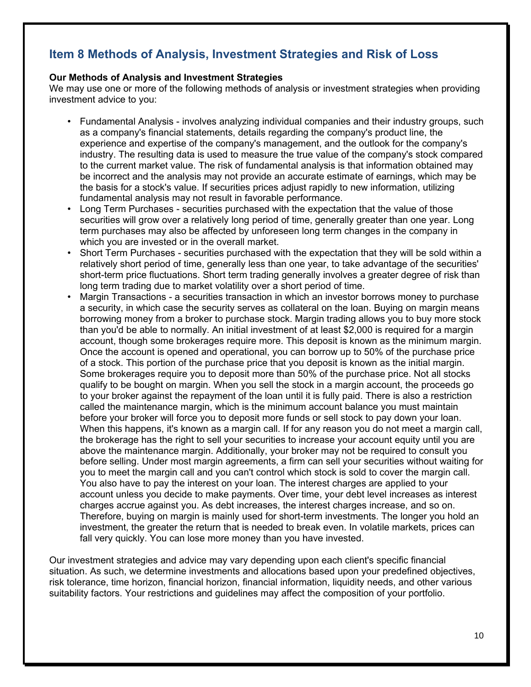# **Item 8 Methods of Analysis, Investment Strategies and Risk of Loss**

#### **Our Methods of Analysis and Investment Strategies**

We may use one or more of the following methods of analysis or investment strategies when providing investment advice to you:

- Fundamental Analysis involves analyzing individual companies and their industry groups, such as a company's financial statements, details regarding the company's product line, the experience and expertise of the company's management, and the outlook for the company's industry. The resulting data is used to measure the true value of the company's stock compared to the current market value. The risk of fundamental analysis is that information obtained may be incorrect and the analysis may not provide an accurate estimate of earnings, which may be the basis for a stock's value. If securities prices adjust rapidly to new information, utilizing fundamental analysis may not result in favorable performance.
- Long Term Purchases securities purchased with the expectation that the value of those securities will grow over a relatively long period of time, generally greater than one year. Long term purchases may also be affected by unforeseen long term changes in the company in which you are invested or in the overall market.
- Short Term Purchases securities purchased with the expectation that they will be sold within a relatively short period of time, generally less than one year, to take advantage of the securities' short-term price fluctuations. Short term trading generally involves a greater degree of risk than long term trading due to market volatility over a short period of time.
- Margin Transactions a securities transaction in which an investor borrows money to purchase a security, in which case the security serves as collateral on the loan. Buying on margin means borrowing money from a broker to purchase stock. Margin trading allows you to buy more stock than you'd be able to normally. An initial investment of at least \$2,000 is required for a margin account, though some brokerages require more. This deposit is known as the minimum margin. Once the account is opened and operational, you can borrow up to 50% of the purchase price of a stock. This portion of the purchase price that you deposit is known as the initial margin. Some brokerages require you to deposit more than 50% of the purchase price. Not all stocks qualify to be bought on margin. When you sell the stock in a margin account, the proceeds go to your broker against the repayment of the loan until it is fully paid. There is also a restriction called the maintenance margin, which is the minimum account balance you must maintain before your broker will force you to deposit more funds or sell stock to pay down your loan. When this happens, it's known as a margin call. If for any reason you do not meet a margin call, the brokerage has the right to sell your securities to increase your account equity until you are above the maintenance margin. Additionally, your broker may not be required to consult you before selling. Under most margin agreements, a firm can sell your securities without waiting for you to meet the margin call and you can't control which stock is sold to cover the margin call. You also have to pay the interest on your loan. The interest charges are applied to your account unless you decide to make payments. Over time, your debt level increases as interest charges accrue against you. As debt increases, the interest charges increase, and so on. Therefore, buying on margin is mainly used for short-term investments. The longer you hold an investment, the greater the return that is needed to break even. In volatile markets, prices can fall very quickly. You can lose more money than you have invested.

Our investment strategies and advice may vary depending upon each client's specific financial situation. As such, we determine investments and allocations based upon your predefined objectives, risk tolerance, time horizon, financial horizon, financial information, liquidity needs, and other various suitability factors. Your restrictions and guidelines may affect the composition of your portfolio.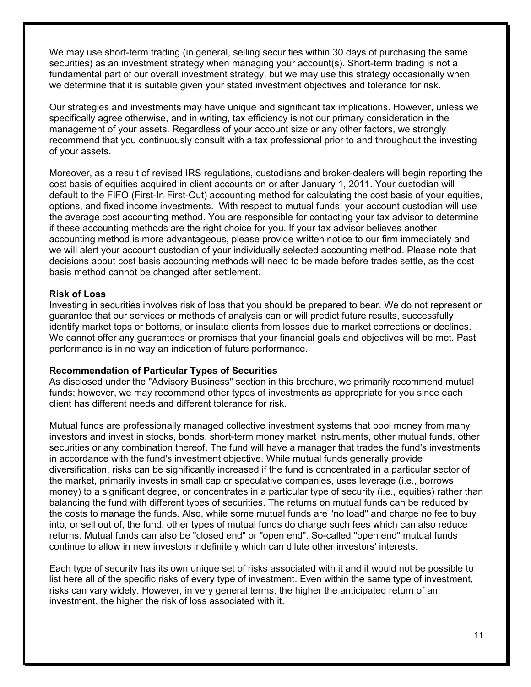We may use short-term trading (in general, selling securities within 30 days of purchasing the same securities) as an investment strategy when managing your account(s). Short-term trading is not a fundamental part of our overall investment strategy, but we may use this strategy occasionally when we determine that it is suitable given your stated investment objectives and tolerance for risk.

Our strategies and investments may have unique and significant tax implications. However, unless we specifically agree otherwise, and in writing, tax efficiency is not our primary consideration in the management of your assets. Regardless of your account size or any other factors, we strongly recommend that you continuously consult with a tax professional prior to and throughout the investing of your assets.

Moreover, as a result of revised IRS regulations, custodians and broker-dealers will begin reporting the cost basis of equities acquired in client accounts on or after January 1, 2011. Your custodian will default to the FIFO (First-In First-Out) accounting method for calculating the cost basis of your equities, options, and fixed income investments. With respect to mutual funds, your account custodian will use the average cost accounting method. You are responsible for contacting your tax advisor to determine if these accounting methods are the right choice for you. If your tax advisor believes another accounting method is more advantageous, please provide written notice to our firm immediately and we will alert your account custodian of your individually selected accounting method. Please note that decisions about cost basis accounting methods will need to be made before trades settle, as the cost basis method cannot be changed after settlement.

#### **Risk of Loss**

Investing in securities involves risk of loss that you should be prepared to bear. We do not represent or guarantee that our services or methods of analysis can or will predict future results, successfully identify market tops or bottoms, or insulate clients from losses due to market corrections or declines. We cannot offer any guarantees or promises that your financial goals and objectives will be met. Past performance is in no way an indication of future performance.

#### **Recommendation of Particular Types of Securities**

As disclosed under the "Advisory Business" section in this brochure, we primarily recommend mutual funds; however, we may recommend other types of investments as appropriate for you since each client has different needs and different tolerance for risk.

Mutual funds are professionally managed collective investment systems that pool money from many investors and invest in stocks, bonds, short-term money market instruments, other mutual funds, other securities or any combination thereof. The fund will have a manager that trades the fund's investments in accordance with the fund's investment objective. While mutual funds generally provide diversification, risks can be significantly increased if the fund is concentrated in a particular sector of the market, primarily invests in small cap or speculative companies, uses leverage (i.e., borrows money) to a significant degree, or concentrates in a particular type of security (i.e., equities) rather than balancing the fund with different types of securities. The returns on mutual funds can be reduced by the costs to manage the funds. Also, while some mutual funds are "no load" and charge no fee to buy into, or sell out of, the fund, other types of mutual funds do charge such fees which can also reduce returns. Mutual funds can also be "closed end" or "open end". So-called "open end" mutual funds continue to allow in new investors indefinitely which can dilute other investors' interests.

Each type of security has its own unique set of risks associated with it and it would not be possible to list here all of the specific risks of every type of investment. Even within the same type of investment, risks can vary widely. However, in very general terms, the higher the anticipated return of an investment, the higher the risk of loss associated with it.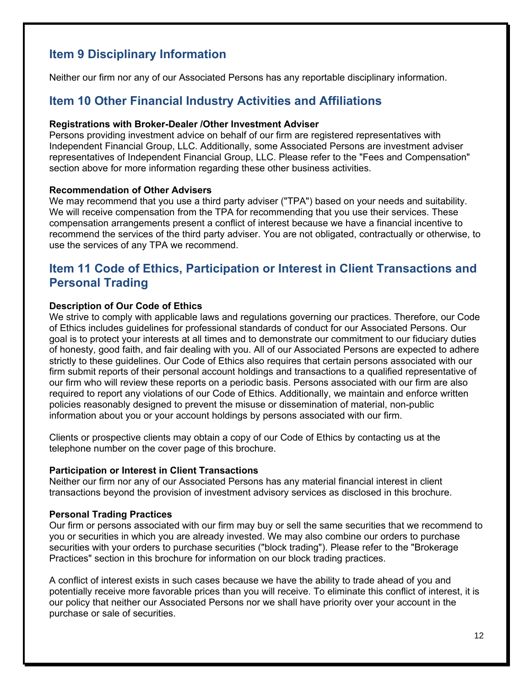# **Item 9 Disciplinary Information**

Neither our firm nor any of our Associated Persons has any reportable disciplinary information.

### **Item 10 Other Financial Industry Activities and Affiliations**

#### **Registrations with Broker-Dealer /Other Investment Adviser**

Persons providing investment advice on behalf of our firm are registered representatives with Independent Financial Group, LLC. Additionally, some Associated Persons are investment adviser representatives of Independent Financial Group, LLC. Please refer to the "Fees and Compensation" section above for more information regarding these other business activities.

#### **Recommendation of Other Advisers**

We may recommend that you use a third party adviser ("TPA") based on your needs and suitability. We will receive compensation from the TPA for recommending that you use their services. These compensation arrangements present a conflict of interest because we have a financial incentive to recommend the services of the third party adviser. You are not obligated, contractually or otherwise, to use the services of any TPA we recommend.

# **Item 11 Code of Ethics, Participation or Interest in Client Transactions and Personal Trading**

#### **Description of Our Code of Ethics**

We strive to comply with applicable laws and regulations governing our practices. Therefore, our Code of Ethics includes guidelines for professional standards of conduct for our Associated Persons. Our goal is to protect your interests at all times and to demonstrate our commitment to our fiduciary duties of honesty, good faith, and fair dealing with you. All of our Associated Persons are expected to adhere strictly to these guidelines. Our Code of Ethics also requires that certain persons associated with our firm submit reports of their personal account holdings and transactions to a qualified representative of our firm who will review these reports on a periodic basis. Persons associated with our firm are also required to report any violations of our Code of Ethics. Additionally, we maintain and enforce written policies reasonably designed to prevent the misuse or dissemination of material, non-public information about you or your account holdings by persons associated with our firm.

Clients or prospective clients may obtain a copy of our Code of Ethics by contacting us at the telephone number on the cover page of this brochure.

#### **Participation or Interest in Client Transactions**

Neither our firm nor any of our Associated Persons has any material financial interest in client transactions beyond the provision of investment advisory services as disclosed in this brochure.

#### **Personal Trading Practices**

Our firm or persons associated with our firm may buy or sell the same securities that we recommend to you or securities in which you are already invested. We may also combine our orders to purchase securities with your orders to purchase securities ("block trading"). Please refer to the "Brokerage Practices" section in this brochure for information on our block trading practices.

A conflict of interest exists in such cases because we have the ability to trade ahead of you and potentially receive more favorable prices than you will receive. To eliminate this conflict of interest, it is our policy that neither our Associated Persons nor we shall have priority over your account in the purchase or sale of securities.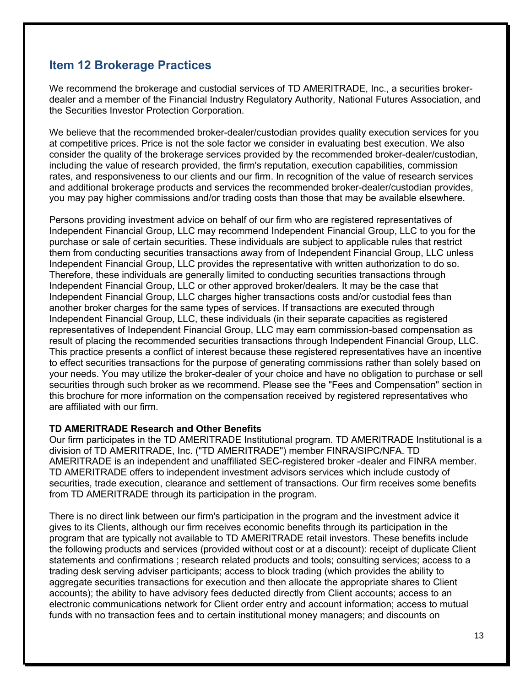# **Item 12 Brokerage Practices**

We recommend the brokerage and custodial services of TD AMERITRADE, Inc., a securities brokerdealer and a member of the Financial Industry Regulatory Authority, National Futures Association, and the Securities Investor Protection Corporation.

We believe that the recommended broker-dealer/custodian provides quality execution services for you at competitive prices. Price is not the sole factor we consider in evaluating best execution. We also consider the quality of the brokerage services provided by the recommended broker-dealer/custodian, including the value of research provided, the firm's reputation, execution capabilities, commission rates, and responsiveness to our clients and our firm. In recognition of the value of research services and additional brokerage products and services the recommended broker-dealer/custodian provides, you may pay higher commissions and/or trading costs than those that may be available elsewhere.

Persons providing investment advice on behalf of our firm who are registered representatives of Independent Financial Group, LLC may recommend Independent Financial Group, LLC to you for the purchase or sale of certain securities. These individuals are subject to applicable rules that restrict them from conducting securities transactions away from of Independent Financial Group, LLC unless Independent Financial Group, LLC provides the representative with written authorization to do so. Therefore, these individuals are generally limited to conducting securities transactions through Independent Financial Group, LLC or other approved broker/dealers. It may be the case that Independent Financial Group, LLC charges higher transactions costs and/or custodial fees than another broker charges for the same types of services. If transactions are executed through Independent Financial Group, LLC, these individuals (in their separate capacities as registered representatives of Independent Financial Group, LLC may earn commission-based compensation as result of placing the recommended securities transactions through Independent Financial Group, LLC. This practice presents a conflict of interest because these registered representatives have an incentive to effect securities transactions for the purpose of generating commissions rather than solely based on your needs. You may utilize the broker-dealer of your choice and have no obligation to purchase or sell securities through such broker as we recommend. Please see the "Fees and Compensation" section in this brochure for more information on the compensation received by registered representatives who are affiliated with our firm.

#### **TD AMERITRADE Research and Other Benefits**

Our firm participates in the TD AMERITRADE Institutional program. TD AMERITRADE Institutional is a division of TD AMERITRADE, Inc. ("TD AMERITRADE") member FINRA/SIPC/NFA. TD AMERITRADE is an independent and unaffiliated SEC-registered broker -dealer and FINRA member. TD AMERITRADE offers to independent investment advisors services which include custody of securities, trade execution, clearance and settlement of transactions. Our firm receives some benefits from TD AMERITRADE through its participation in the program.

There is no direct link between our firm's participation in the program and the investment advice it gives to its Clients, although our firm receives economic benefits through its participation in the program that are typically not available to TD AMERITRADE retail investors. These benefits include the following products and services (provided without cost or at a discount): receipt of duplicate Client statements and confirmations ; research related products and tools; consulting services; access to a trading desk serving adviser participants; access to block trading (which provides the ability to aggregate securities transactions for execution and then allocate the appropriate shares to Client accounts); the ability to have advisory fees deducted directly from Client accounts; access to an electronic communications network for Client order entry and account information; access to mutual funds with no transaction fees and to certain institutional money managers; and discounts on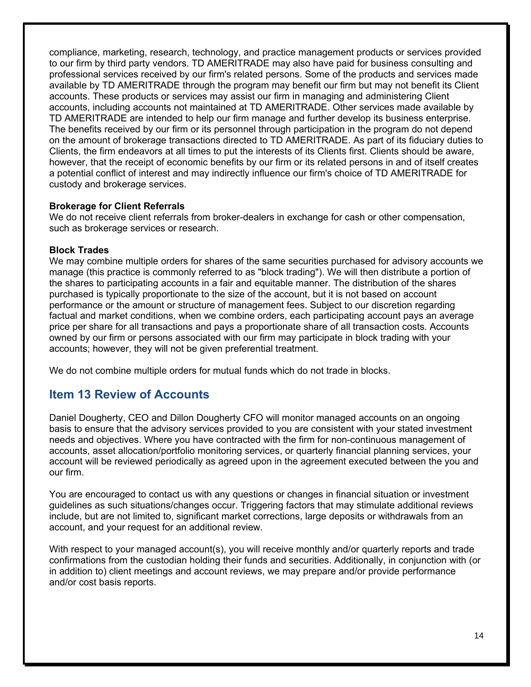compliance, marketing, research, technology, and practice management products or services provided to our firm by third party vendors. TD AMERITRADE may also have paid for business consulting and professional services received by our firm's related persons. Some of the products and services made available by TD AMERITRADE through the program may benefit our firm but may not benefit its Client accounts. These products or services may assist our firm in managing and administering Client accounts, including accounts not maintained at TD AMERITRADE. Other services made available by TD AMERITRADE are intended to help our firm manage and further develop its business enterprise. The benefits received by our firm or its personnel through participation in the program do not depend on the amount of brokerage transactions directed to TD AMERITRADE. As part of its fiduciary duties to Clients, the firm endeavors at all times to put the interests of its Clients first. Clients should be aware, however, that the receipt of economic benefits by our firm or its related persons in and of itself creates a potential conflict of interest and may indirectly influence our firm's choice of TD AMERITRADE for custody and brokerage services.

#### **Brokerage for Client Referrals**

We do not receive client referrals from broker-dealers in exchange for cash or other compensation, such as brokerage services or research.

#### **Block Trades**

We may combine multiple orders for shares of the same securities purchased for advisory accounts we manage (this practice is commonly referred to as "block trading"). We will then distribute a portion of the shares to participating accounts in a fair and equitable manner. The distribution of the shares purchased is typically proportionate to the size of the account, but it is not based on account performance or the amount or structure of management fees. Subject to our discretion regarding factual and market conditions, when we combine orders, each participating account pays an average price per share for all transactions and pays a proportionate share of all transaction costs. Accounts owned by our firm or persons associated with our firm may participate in block trading with your accounts; however, they will not be given preferential treatment.

We do not combine multiple orders for mutual funds which do not trade in blocks.

# **Item 13 Review of Accounts**

Daniel Dougherty, CEO and Dillon Dougherty CFO will monitor managed accounts on an ongoing basis to ensure that the advisory services provided to you are consistent with your stated investment needs and objectives. Where you have contracted with the firm for non-continuous management of accounts, asset allocation/portfolio monitoring services, or quarterly financial planning services, your account will be reviewed periodically as agreed upon in the agreement executed between the you and our firm.

You are encouraged to contact us with any questions or changes in financial situation or investment guidelines as such situations/changes occur. Triggering factors that may stimulate additional reviews include, but are not limited to, significant market corrections, large deposits or withdrawals from an account, and your request for an additional review.

With respect to your managed account(s), you will receive monthly and/or quarterly reports and trade confirmations from the custodian holding their funds and securities. Additionally, in conjunction with (or in addition to) client meetings and account reviews, we may prepare and/or provide performance and/or cost basis reports.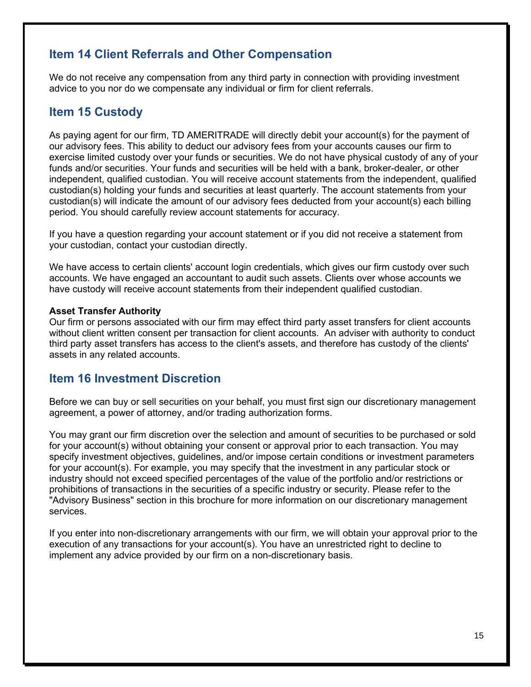# **Item 14 Client Referrals and Other Compensation**

We do not receive any compensation from any third party in connection with providing investment advice to you nor do we compensate any individual or firm for client referrals.

# **Item 15 Custody**

As paying agent for our firm, TD AMERITRADE will directly debit your account(s) for the payment of our advisory fees. This ability to deduct our advisory fees from your accounts causes our firm to exercise limited custody over your funds or securities. We do not have physical custody of any of your funds and/or securities. Your funds and securities will be held with a bank, broker-dealer, or other independent, qualified custodian. You will receive account statements from the independent, qualified custodian(s) holding your funds and securities at least quarterly. The account statements from your custodian(s) will indicate the amount of our advisory fees deducted from your account(s) each billing period. You should carefully review account statements for accuracy.

If you have a question regarding your account statement or if you did not receive a statement from your custodian, contact your custodian directly.

We have access to certain clients' account login credentials, which gives our firm custody over such accounts. We have engaged an accountant to audit such assets. Clients over whose accounts we have custody will receive account statements from their independent qualified custodian.

#### **Asset Transfer Authority**

Our firm or persons associated with our firm may effect third party asset transfers for client accounts without client written consent per transaction for client accounts. An adviser with authority to conduct third party asset transfers has access to the client's assets, and therefore has custody of the clients' assets in any related accounts.

### **Item 16 Investment Discretion**

Before we can buy or sell securities on your behalf, you must first sign our discretionary management agreement, a power of attorney, and/or trading authorization forms.

You may grant our firm discretion over the selection and amount of securities to be purchased or sold for your account(s) without obtaining your consent or approval prior to each transaction. You may specify investment objectives, guidelines, and/or impose certain conditions or investment parameters for your account(s). For example, you may specify that the investment in any particular stock or industry should not exceed specified percentages of the value of the portfolio and/or restrictions or prohibitions of transactions in the securities of a specific industry or security. Please refer to the "Advisory Business" section in this brochure for more information on our discretionary management services.

If you enter into non-discretionary arrangements with our firm, we will obtain your approval prior to the execution of any transactions for your account(s). You have an unrestricted right to decline to implement any advice provided by our firm on a non-discretionary basis.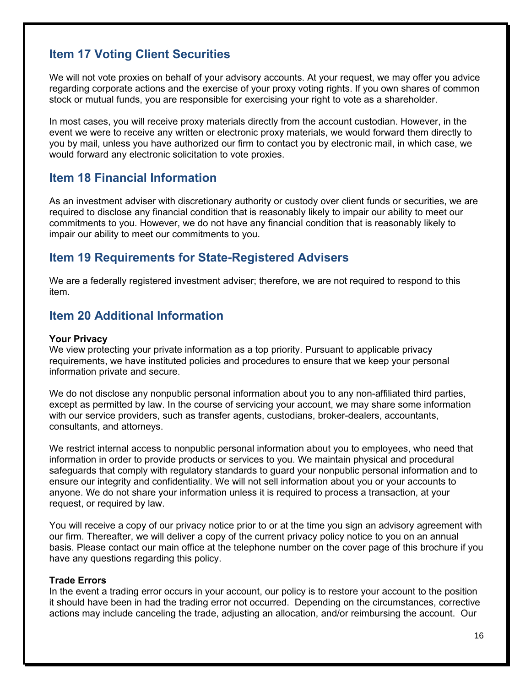# **Item 17 Voting Client Securities**

We will not vote proxies on behalf of your advisory accounts. At your request, we may offer you advice regarding corporate actions and the exercise of your proxy voting rights. If you own shares of common stock or mutual funds, you are responsible for exercising your right to vote as a shareholder.

In most cases, you will receive proxy materials directly from the account custodian. However, in the event we were to receive any written or electronic proxy materials, we would forward them directly to you by mail, unless you have authorized our firm to contact you by electronic mail, in which case, we would forward any electronic solicitation to vote proxies.

### **Item 18 Financial Information**

As an investment adviser with discretionary authority or custody over client funds or securities, we are required to disclose any financial condition that is reasonably likely to impair our ability to meet our commitments to you. However, we do not have any financial condition that is reasonably likely to impair our ability to meet our commitments to you.

### **Item 19 Requirements for State-Registered Advisers**

We are a federally registered investment adviser; therefore, we are not required to respond to this item.

### **Item 20 Additional Information**

#### **Your Privacy**

We view protecting your private information as a top priority. Pursuant to applicable privacy requirements, we have instituted policies and procedures to ensure that we keep your personal information private and secure.

We do not disclose any nonpublic personal information about you to any non-affiliated third parties, except as permitted by law. In the course of servicing your account, we may share some information with our service providers, such as transfer agents, custodians, broker-dealers, accountants, consultants, and attorneys.

We restrict internal access to nonpublic personal information about you to employees, who need that information in order to provide products or services to you. We maintain physical and procedural safeguards that comply with regulatory standards to guard your nonpublic personal information and to ensure our integrity and confidentiality. We will not sell information about you or your accounts to anyone. We do not share your information unless it is required to process a transaction, at your request, or required by law.

You will receive a copy of our privacy notice prior to or at the time you sign an advisory agreement with our firm. Thereafter, we will deliver a copy of the current privacy policy notice to you on an annual basis. Please contact our main office at the telephone number on the cover page of this brochure if you have any questions regarding this policy.

#### **Trade Errors**

In the event a trading error occurs in your account, our policy is to restore your account to the position it should have been in had the trading error not occurred. Depending on the circumstances, corrective actions may include canceling the trade, adjusting an allocation, and/or reimbursing the account. Our